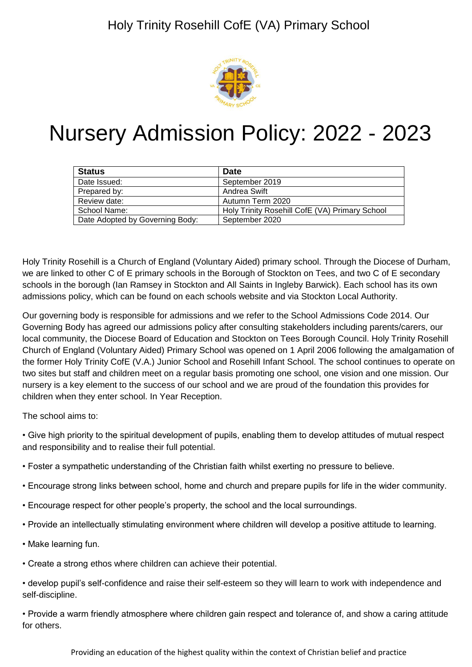

# Nursery Admission Policy: 2022 - 2023

| <b>Status</b>                   | <b>Date</b>                                    |
|---------------------------------|------------------------------------------------|
| Date Issued:                    | September 2019                                 |
| Prepared by:                    | Andrea Swift                                   |
| Review date:                    | Autumn Term 2020                               |
| School Name:                    | Holy Trinity Rosehill CofE (VA) Primary School |
| Date Adopted by Governing Body: | September 2020                                 |

Holy Trinity Rosehill is a Church of England (Voluntary Aided) primary school. Through the Diocese of Durham, we are linked to other C of E primary schools in the Borough of Stockton on Tees, and two C of E secondary schools in the borough (Ian Ramsey in Stockton and All Saints in Ingleby Barwick). Each school has its own admissions policy, which can be found on each schools website and via Stockton Local Authority.

Our governing body is responsible for admissions and we refer to the School Admissions Code 2014. Our Governing Body has agreed our admissions policy after consulting stakeholders including parents/carers, our local community, the Diocese Board of Education and Stockton on Tees Borough Council. Holy Trinity Rosehill Church of England (Voluntary Aided) Primary School was opened on 1 April 2006 following the amalgamation of the former Holy Trinity CofE (V.A.) Junior School and Rosehill Infant School. The school continues to operate on two sites but staff and children meet on a regular basis promoting one school, one vision and one mission. Our nursery is a key element to the success of our school and we are proud of the foundation this provides for children when they enter school. In Year Reception.

The school aims to:

- Give high priority to the spiritual development of pupils, enabling them to develop attitudes of mutual respect and responsibility and to realise their full potential.
- Foster a sympathetic understanding of the Christian faith whilst exerting no pressure to believe.
- Encourage strong links between school, home and church and prepare pupils for life in the wider community.
- Encourage respect for other people's property, the school and the local surroundings.
- Provide an intellectually stimulating environment where children will develop a positive attitude to learning.
- Make learning fun.
- Create a strong ethos where children can achieve their potential.
- develop pupil's self-confidence and raise their self-esteem so they will learn to work with independence and self-discipline.

• Provide a warm friendly atmosphere where children gain respect and tolerance of, and show a caring attitude for others.

Providing an education of the highest quality within the context of Christian belief and practice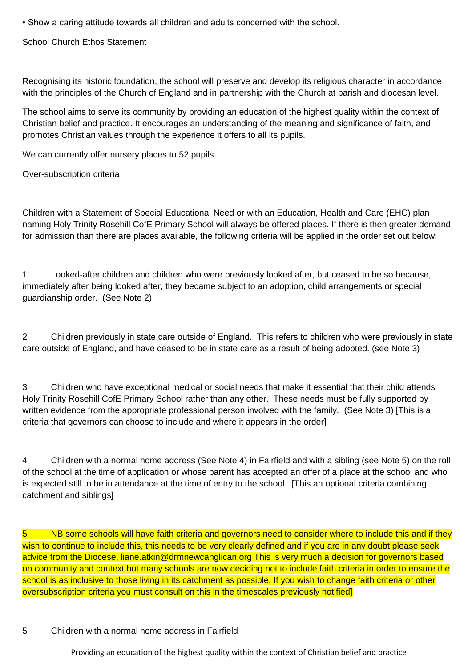• Show a caring attitude towards all children and adults concerned with the school.

School Church Ethos Statement

Recognising its historic foundation, the school will preserve and develop its religious character in accordance with the principles of the Church of England and in partnership with the Church at parish and diocesan level.

The school aims to serve its community by providing an education of the highest quality within the context of Christian belief and practice. It encourages an understanding of the meaning and significance of faith, and promotes Christian values through the experience it offers to all its pupils.

We can currently offer nursery places to 52 pupils.

Over-subscription criteria

Children with a Statement of Special Educational Need or with an Education, Health and Care (EHC) plan naming Holy Trinity Rosehill CofE Primary School will always be offered places. If there is then greater demand for admission than there are places available, the following criteria will be applied in the order set out below:

1 Looked-after children and children who were previously looked after, but ceased to be so because, immediately after being looked after, they became subject to an adoption, child arrangements or special guardianship order. (See Note 2)

2 Children previously in state care outside of England. This refers to children who were previously in state care outside of England, and have ceased to be in state care as a result of being adopted. (see Note 3)

3 Children who have exceptional medical or social needs that make it essential that their child attends Holy Trinity Rosehill CofE Primary School rather than any other. These needs must be fully supported by written evidence from the appropriate professional person involved with the family. (See Note 3) [This is a criteria that governors can choose to include and where it appears in the order]

4 Children with a normal home address (See Note 4) in Fairfield and with a sibling (see Note 5) on the roll of the school at the time of application or whose parent has accepted an offer of a place at the school and who is expected still to be in attendance at the time of entry to the school. [This an optional criteria combining catchment and siblings]

5 NB some schools will have faith criteria and governors need to consider where to include this and if they wish to continue to include this, this needs to be very clearly defined and if you are in any doubt please seek advice from the Diocese, liane.atkin@drmnewcanglican.org This is very much a decision for governors based on community and context but many schools are now deciding not to include faith criteria in order to ensure the school is as inclusive to those living in its catchment as possible. If you wish to change faith criteria or other oversubscription criteria you must consult on this in the timescales previously notified]

#### 5 Children with a normal home address in Fairfield

Providing an education of the highest quality within the context of Christian belief and practice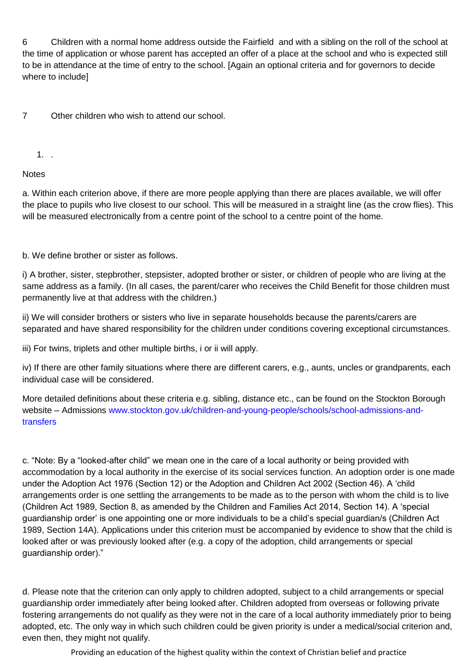6 Children with a normal home address outside the Fairfield and with a sibling on the roll of the school at the time of application or whose parent has accepted an offer of a place at the school and who is expected still to be in attendance at the time of entry to the school. [Again an optional criteria and for governors to decide where to include]

7 Other children who wish to attend our school.

1. .

## **Notes**

a. Within each criterion above, if there are more people applying than there are places available, we will offer the place to pupils who live closest to our school. This will be measured in a straight line (as the crow flies). This will be measured electronically from a centre point of the school to a centre point of the home.

b. We define brother or sister as follows.

i) A brother, sister, stepbrother, stepsister, adopted brother or sister, or children of people who are living at the same address as a family. (In all cases, the parent/carer who receives the Child Benefit for those children must permanently live at that address with the children.)

ii) We will consider brothers or sisters who live in separate households because the parents/carers are separated and have shared responsibility for the children under conditions covering exceptional circumstances.

iii) For twins, triplets and other multiple births, i or ii will apply.

iv) If there are other family situations where there are different carers, e.g., aunts, uncles or grandparents, each individual case will be considered.

More detailed definitions about these criteria e.g. sibling, distance etc., can be found on the Stockton Borough website – Admissions [www.stockton.gov.uk/children-and-young-people/schools/school-admissions-and](http://www.stockton.gov.uk/children-and-young-people/schools/school-admissions-and-transfers)[transfers](http://www.stockton.gov.uk/children-and-young-people/schools/school-admissions-and-transfers)

c. "Note: By a "looked-after child" we mean one in the care of a local authority or being provided with accommodation by a local authority in the exercise of its social services function. An adoption order is one made under the Adoption Act 1976 (Section 12) or the Adoption and Children Act 2002 (Section 46). A 'child arrangements order is one settling the arrangements to be made as to the person with whom the child is to live (Children Act 1989, Section 8, as amended by the Children and Families Act 2014, Section 14). A 'special guardianship order' is one appointing one or more individuals to be a child's special guardian/s (Children Act 1989, Section 14A). Applications under this criterion must be accompanied by evidence to show that the child is looked after or was previously looked after (e.g. a copy of the adoption, child arrangements or special guardianship order)."

d. Please note that the criterion can only apply to children adopted, subject to a child arrangements or special guardianship order immediately after being looked after. Children adopted from overseas or following private fostering arrangements do not qualify as they were not in the care of a local authority immediately prior to being adopted, etc. The only way in which such children could be given priority is under a medical/social criterion and, even then, they might not qualify.

Providing an education of the highest quality within the context of Christian belief and practice